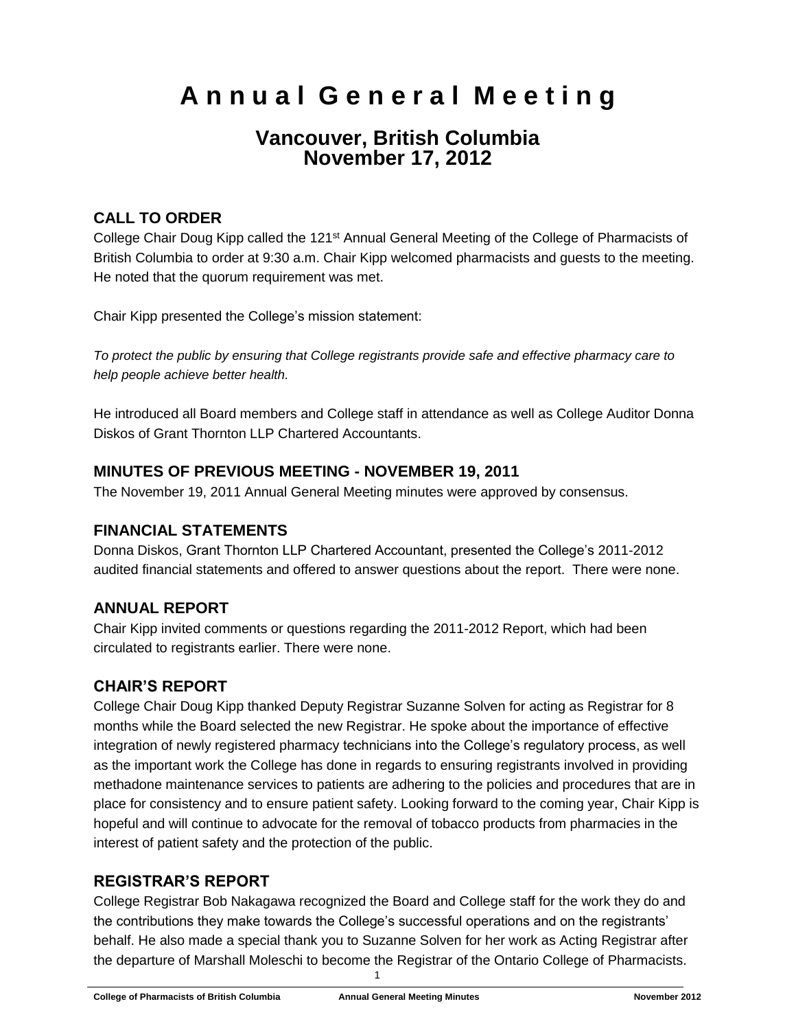# **A n n u a l G e n e r a l M e e t i n g**

# **Vancouver, British Columbia November 17, 2012**

# **CALL TO ORDER**

College Chair Doug Kipp called the 121<sup>st</sup> Annual General Meeting of the College of Pharmacists of British Columbia to order at 9:30 a.m. Chair Kipp welcomed pharmacists and guests to the meeting. He noted that the quorum requirement was met.

Chair Kipp presented the College's mission statement:

*To protect the public by ensuring that College registrants provide safe and effective pharmacy care to help people achieve better health.*

He introduced all Board members and College staff in attendance as well as College Auditor Donna Diskos of Grant Thornton LLP Chartered Accountants.

#### **MINUTES OF PREVIOUS MEETING - NOVEMBER 19, 2011**

The November 19, 2011 Annual General Meeting minutes were approved by consensus.

#### **FINANCIAL STATEMENTS**

Donna Diskos, Grant Thornton LLP Chartered Accountant, presented the College's 2011-2012 audited financial statements and offered to answer questions about the report. There were none.

# **ANNUAL REPORT**

Chair Kipp invited comments or questions regarding the 2011-2012 Report, which had been circulated to registrants earlier. There were none.

# **CHAIR'S REPORT**

College Chair Doug Kipp thanked Deputy Registrar Suzanne Solven for acting as Registrar for 8 months while the Board selected the new Registrar. He spoke about the importance of effective integration of newly registered pharmacy technicians into the College's regulatory process, as well as the important work the College has done in regards to ensuring registrants involved in providing methadone maintenance services to patients are adhering to the policies and procedures that are in place for consistency and to ensure patient safety. Looking forward to the coming year, Chair Kipp is hopeful and will continue to advocate for the removal of tobacco products from pharmacies in the interest of patient safety and the protection of the public.

#### **REGISTRAR'S REPORT**

College Registrar Bob Nakagawa recognized the Board and College staff for the work they do and the contributions they make towards the College's successful operations and on the registrants' behalf. He also made a special thank you to Suzanne Solven for her work as Acting Registrar after the departure of Marshall Moleschi to become the Registrar of the Ontario College of Pharmacists.

1